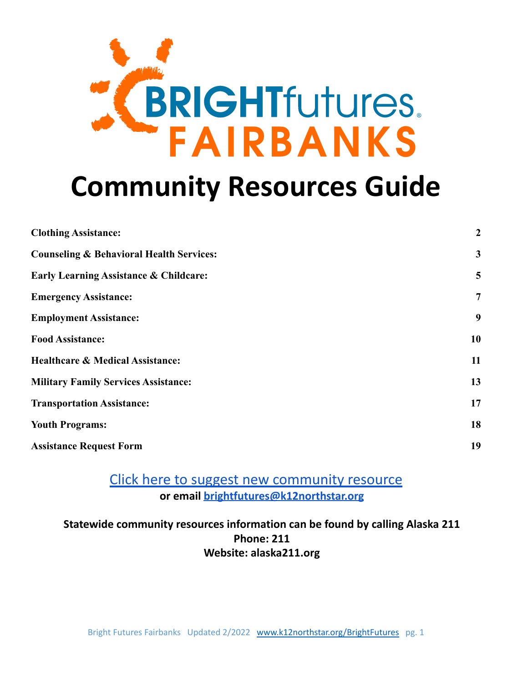

# **Community Resources Guide**

| <b>Clothing Assistance:</b>                         | $\boldsymbol{2}$ |
|-----------------------------------------------------|------------------|
| <b>Counseling &amp; Behavioral Health Services:</b> | $\mathbf{3}$     |
| <b>Early Learning Assistance &amp; Childcare:</b>   | 5                |
| <b>Emergency Assistance:</b>                        | $\overline{7}$   |
| <b>Employment Assistance:</b>                       | 9                |
| <b>Food Assistance:</b>                             | 10               |
| <b>Healthcare &amp; Medical Assistance:</b>         | 11               |
| <b>Military Family Services Assistance:</b>         | 13               |
| <b>Transportation Assistance:</b>                   | 17               |
| <b>Youth Programs:</b>                              | 18               |
| <b>Assistance Request Form</b>                      | 19               |
|                                                     |                  |

# [Click here to suggest new community resource](https://fnsbsd.typeform.com/to/F6piPf) **or email [brightfutures@k12northstar.org](mailto:brightfutures@k12northstar.org)**

**Statewide community resources information can be found by calling Alaska 211 Phone: 211 Website: alaska211.org**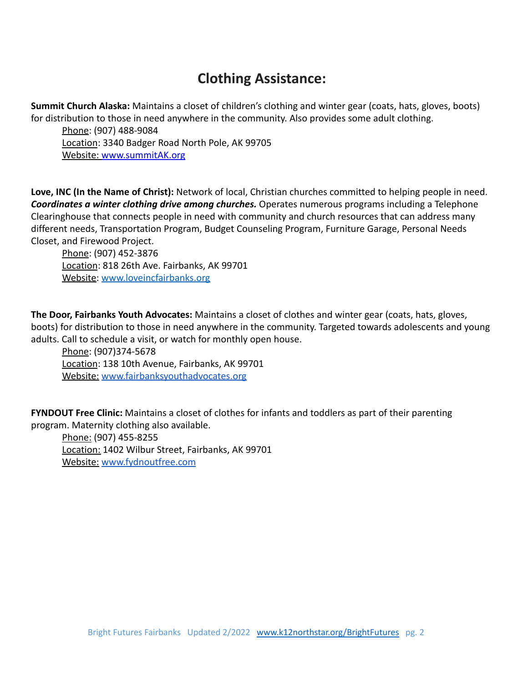# **Clothing Assistance:**

<span id="page-1-0"></span>**Summit Church Alaska:** Maintains a closet of children's clothing and winter gear (coats, hats, gloves, boots) for distribution to those in need anywhere in the community. Also provides some adult clothing.

Phone: (907) 488-9084 Location: 3340 Badger Road North Pole, AK 99705 Website: [www.summitAK.org](http://www.summitak.org)

**Love, INC (In the Name of Christ):** Network of local, Christian churches committed to helping people in need. *Coordinates a winter clothing drive among churches.* Operates numerous programs including a Telephone Clearinghouse that connects people in need with community and church resources that can address many different needs, Transportation Program, Budget Counseling Program, Furniture Garage, Personal Needs Closet, and Firewood Project.

Phone: (907) 452-3876 Location: 818 26th Ave. Fairbanks, AK 99701 Website: [www.loveincfairbanks.org](http://www.loveincfairbanks.org)

**The Door, Fairbanks Youth Advocates:** Maintains a closet of clothes and winter gear (coats, hats, gloves, boots) for distribution to those in need anywhere in the community. Targeted towards adolescents and young adults. Call to schedule a visit, or watch for monthly open house.

Phone: (907)374-5678 Location: 138 10th Avenue, Fairbanks, AK 99701 Website: [www.fairbanksyouthadvocates.org](http://www.fairbanksyouthadvocates.org)

**FYNDOUT Free Clinic:** Maintains a closet of clothes for infants and toddlers as part of their parenting program. Maternity clothing also available.

Phone: (907) 455-8255 Location: 1402 Wilbur Street, Fairbanks, AK 99701 Website: [www.fydnoutfree.com](http://www.fydnoutfree.com)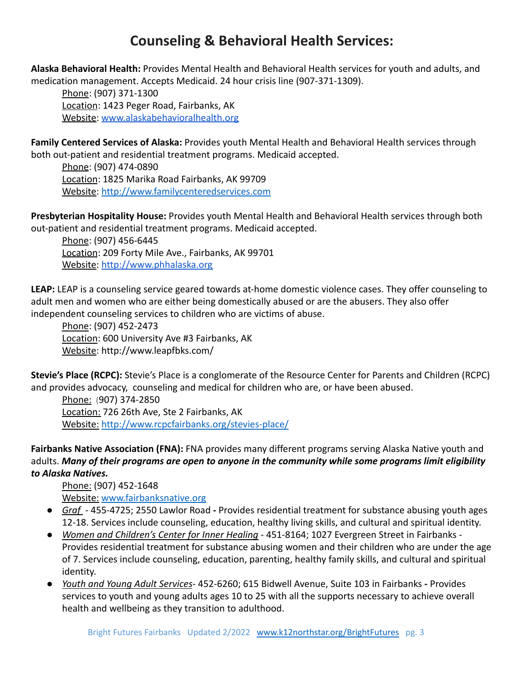# **Counseling & Behavioral Health Services:**

<span id="page-2-0"></span>**Alaska Behavioral Health:** Provides Mental Health and Behavioral Health services for youth and adults, and medication management. Accepts Medicaid. 24 hour crisis line (907-371-1309).

Phone: (907) 371-1300 Location: 1423 Peger Road, Fairbanks, AK Website: [www.alaskabehavioralhealth.org](http://www.alaskabehavioralhealth.org)

**Family Centered Services of Alaska:** Provides youth Mental Health and Behavioral Health services through both out-patient and residential treatment programs. Medicaid accepted.

Phone: (907) 474-0890 Location: 1825 Marika Road Fairbanks, AK 99709 Website: [http://www.familycenteredservices.com](http://www.familycenteredservices.com/)

**Presbyterian Hospitality House:** Provides youth Mental Health and Behavioral Health services through both out-patient and residential treatment programs. Medicaid accepted.

Phone: (907) 456-6445 Location: 209 Forty Mile Ave., Fairbanks, AK 99701 Website: <http://www.phhalaska.org>

**LEAP:** LEAP is a counseling service geared towards at-home domestic violence cases. They offer counseling to adult men and women who are either being domestically abused or are the abusers. They also offer independent counseling services to children who are victims of abuse.

Phone: (907) 452-2473 Location: 600 University Ave #3 Fairbanks, AK Website: http://www.leapfbks.com/

**Stevie's Place (RCPC):** Stevie's Place is a conglomerate of the Resource Center for Parents and Children (RCPC) and provides advocacy, counseling and medical for children who are, or have been abused.

Phone: (907) 374-2850 Location: 726 26th Ave, Ste 2 Fairbanks, AK Website: <http://www.rcpcfairbanks.org/stevies-place/>

**Fairbanks Native Association (FNA):** FNA provides many different programs serving Alaska Native youth and adults. *Many of their programs are open to anyone in the community while some programs limit eligibility to Alaska Natives.*

Phone: (907) 452-1648 Website: [www.fairbanksnative.org](http://www.fairbanksnative.org)

- *Graf -* 455-4725; 2550 Lawlor Road **-** Provides residential treatment for substance abusing youth ages 12-18. Services include counseling, education, healthy living skills, and cultural and spiritual identity.
- *Women and Children's Center for Inner Healing -* 451-8164; 1027 Evergreen Street in Fairbanks Provides residential treatment for substance abusing women and their children who are under the age of 7. Services include counseling, education, parenting, healthy family skills, and cultural and spiritual identity.
- *Youth and Young Adult Services-* 452-6260; 615 Bidwell Avenue, Suite 103 in Fairbanks **-** Provides services to youth and young adults ages 10 to 25 with all the supports necessary to achieve overall health and wellbeing as they transition to adulthood.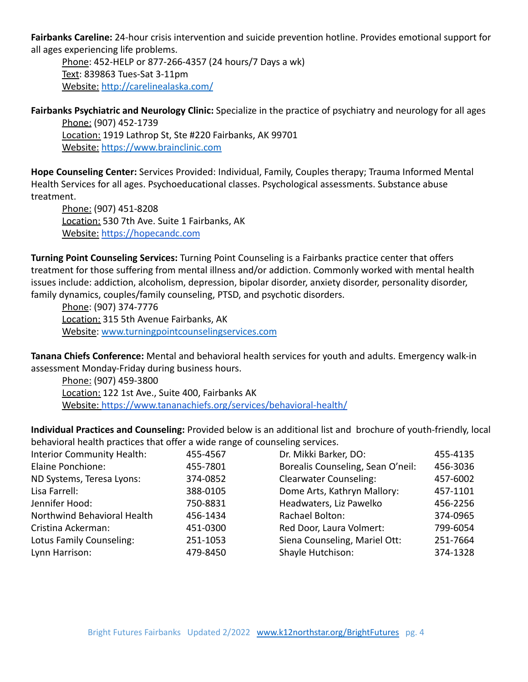**Fairbanks Careline:** 24-hour crisis intervention and suicide prevention hotline. Provides emotional support for all ages experiencing life problems.

Phone: 452-HELP or 877-266-4357 (24 hours/7 Days a wk) Text: 839863 Tues-Sat 3-11pm Website: <http://carelinealaska.com/>

**Fairbanks Psychiatric and Neurology Clinic:** Specialize in the practice of psychiatry and neurology for all ages Phone: (907) 452-1739

Location: 1919 Lathrop St, Ste #220 Fairbanks, AK 99701 Website: <https://www.brainclinic.com>

**Hope Counseling Center:** Services Provided: Individual, Family, Couples therapy; Trauma Informed Mental Health Services for all ages. Psychoeducational classes. Psychological assessments. Substance abuse treatment.

Phone: (907) 451-8208 Location: 530 7th Ave. Suite 1 Fairbanks, AK Website: <https://hopecandc.com>

**Turning Point Counseling Services:** Turning Point Counseling is a Fairbanks practice center that offers treatment for those suffering from mental illness and/or addiction. Commonly worked with mental health issues include: addiction, alcoholism, depression, bipolar disorder, anxiety disorder, personality disorder, family dynamics, couples/family counseling, PTSD, and psychotic disorders.

Phone: (907) 374-7776 Location: 315 5th Avenue Fairbanks, AK Website: [www.turningpointcounselingservices.com](http://www.turningpointcounselingservices.com)

**Tanana Chiefs Conference:** Mental and behavioral health services for youth and adults. Emergency walk-in assessment Monday-Friday during business hours.

Phone: (907) 459-3800 Location: 122 1st Ave., Suite 400, Fairbanks AK Website: <https://www.tananachiefs.org/services/behavioral-health/>

**Individual Practices and Counseling:** Provided below is an additional list and brochure of youth-friendly, local behavioral health practices that offer a wide range of counseling services.

| <b>Interior Community Health:</b> | 455-4567 | Dr. Mikki Barker, DO:             | 455-4135 |
|-----------------------------------|----------|-----------------------------------|----------|
| Elaine Ponchione:                 | 455-7801 | Borealis Counseling, Sean O'neil: | 456-3036 |
| ND Systems, Teresa Lyons:         | 374-0852 | <b>Clearwater Counseling:</b>     | 457-6002 |
| Lisa Farrell:                     | 388-0105 | Dome Arts, Kathryn Mallory:       | 457-1101 |
| Jennifer Hood:                    | 750-8831 | Headwaters, Liz Pawelko           | 456-2256 |
| Northwind Behavioral Health       | 456-1434 | Rachael Bolton:                   | 374-0965 |
| Cristina Ackerman:                | 451-0300 | Red Door, Laura Volmert:          | 799-6054 |
| Lotus Family Counseling:          | 251-1053 | Siena Counseling, Mariel Ott:     | 251-7664 |
| Lynn Harrison:                    | 479-8450 | Shayle Hutchison:                 | 374-1328 |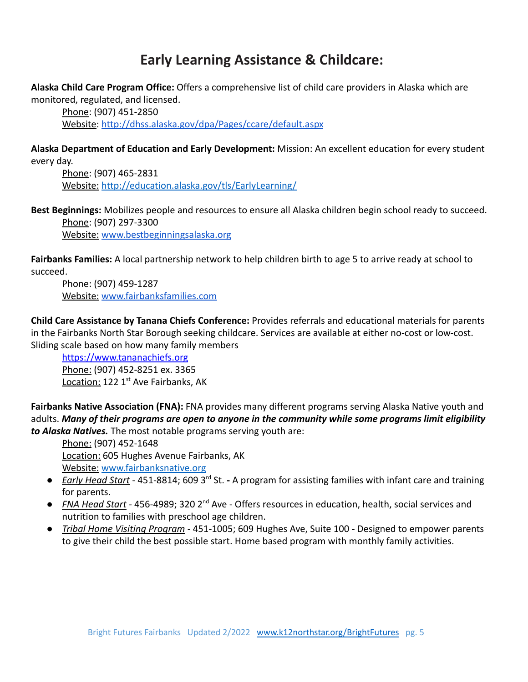# **Early Learning Assistance & Childcare:**

<span id="page-4-0"></span>**Alaska Child Care Program Office:** Offers a comprehensive list of child care providers in Alaska which are monitored, regulated, and licensed.

Phone: (907) 451-2850 Website: <http://dhss.alaska.gov/dpa/Pages/ccare/default.aspx>

**Alaska Department of Education and Early Development:** Mission: An excellent education for every student every day.

Phone: (907) 465-2831 Website: h[ttp://education.alaska.gov/tls/EarlyLearning/](https://education.alaska.gov/tls/EarlyLearning)

**Best Beginnings:** Mobilizes people and resources to ensure all Alaska children begin school ready to succeed. Phone: (907) 297-3300 Website: [www.bestbeginningsalaska.org](http://www.bestbeginningsalaska.org)

**Fairbanks Families:** A local partnership network to help children birth to age 5 to arrive ready at school to succeed.

Phone: (907) 459-1287 Website: [www.fairbanksfamilies.com](http://www.fairbanksfamilies.com)

**Child Care Assistance by Tanana Chiefs Conference:** Provides referrals and educational materials for parents in the Fairbanks North Star Borough seeking childcare. Services are available at either no-cost or low-cost. Sliding scale based on how many family members

<https://www.tananachiefs.org> Phone: (907) 452-8251 ex. 3365 Location: 122 1<sup>st</sup> Ave Fairbanks, AK

**Fairbanks Native Association (FNA):** FNA provides many different programs serving Alaska Native youth and adults. *Many of their programs are open to anyone in the community while some programs limit eligibility to Alaska Natives.* The most notable programs serving youth are:

Phone: (907) 452-1648 Location: 605 Hughes Avenue Fairbanks, AK Website: [www.fairbanksnative.org](http://www.fairbanksnative.org)

- *Early Head Start* 451-8814; 609 3rd St. **-** A program for assisting families with infant care and training for parents.
- *FNA Head Start -* 456-4989; 320 2nd Ave Offers resources in education, health, social services and nutrition to families with preschool age children.
- *Tribal Home Visiting Program -* 451-1005; 609 Hughes Ave, Suite 100 **-** Designed to empower parents to give their child the best possible start. Home based program with monthly family activities.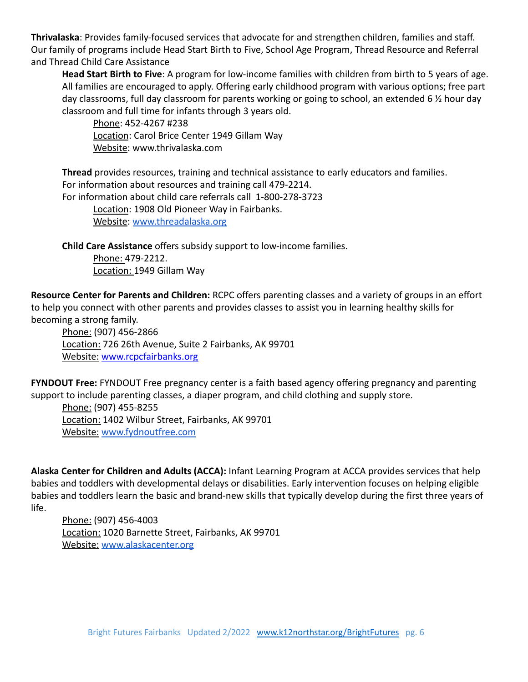**Thrivalaska**: Provides family-focused services that advocate for and strengthen children, families and staff. Our family of programs include Head Start Birth to Five, School Age Program, Thread Resource and Referral and Thread Child Care Assistance

**Head Start Birth to Five**: A program for low-income families with children from birth to 5 years of age. All families are encouraged to apply. Offering early childhood program with various options; free part day classrooms, full day classroom for parents working or going to school, an extended 6 ½ hour day classroom and full time for infants through 3 years old.

Phone: 452-4267 #238 Location: Carol Brice Center 1949 Gillam Way Website: www.thrivalaska.com

**Thread** provides resources, training and technical assistance to early educators and families. For information about resources and training call 479-2214.

For information about child care referrals call 1-800-278-3723

Location: 1908 Old Pioneer Way in Fairbanks.

Website: [www.threadalaska.org](http://www.threadalaska.org)

**Child Care Assistance** offers subsidy support to low-income families.

Phone: 479-2212. Location: 1949 Gillam Way

**Resource Center for Parents and Children:** RCPC offers parenting classes and a variety of groups in an effort to help you connect with other parents and provides classes to assist you in learning healthy skills for becoming a strong family.

Phone: (907) 456-2866 Location: 726 26th Avenue, Suite 2 Fairbanks, AK 99701 Website: [www.rcpcfairbanks.org](http://www.rcpcfairbanks.org/)

**FYNDOUT Free:** FYNDOUT Free pregnancy center is a faith based agency offering pregnancy and parenting support to include parenting classes, a diaper program, and child clothing and supply store.

Phone: (907) 455-8255 Location: 1402 Wilbur Street, Fairbanks, AK 99701 Website: [www.fydnoutfree.com](http://www.fydnoutfree.com)

**Alaska Center for Children and Adults (ACCA):** Infant Learning Program at ACCA provides services that help babies and toddlers with developmental delays or disabilities. Early intervention focuses on helping eligible babies and toddlers learn the basic and brand-new skills that typically develop during the first three years of life.

Phone: (907) 456-4003 Location: 1020 Barnette Street, Fairbanks, AK 99701 Website: [www.alaskacenter.org](http://www.alaskacenter.org)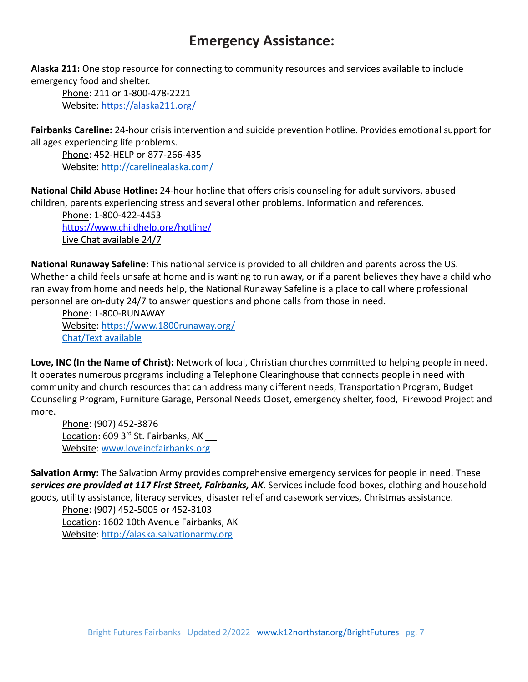# **Emergency Assistance:**

<span id="page-6-0"></span>**Alaska 211:** One stop resource for connecting to community resources and services available to include emergency food and shelter.

Phone: 211 or 1-800-478-2221 Website: <https://alaska211.org/>

**Fairbanks Careline:** 24-hour crisis intervention and suicide prevention hotline. Provides emotional support for all ages experiencing life problems.

Phone: 452-HELP or 877-266-435 Website: <http://carelinealaska.com/>

**National Child Abuse Hotline:** 24-hour hotline that offers crisis counseling for adult survivors, abused children, parents experiencing stress and several other problems. Information and references.

Phone: 1-800-422-4453 <https://www.childhelp.org/hotline/> Live Chat available 24/7

**National Runaway Safeline:** This national service is provided to all children and parents across the US. Whether a child feels unsafe at home and is wanting to run away, or if a parent believes they have a child who ran away from home and needs help, the National Runaway Safeline is a place to call where professional personnel are on-duty 24/7 to answer questions and phone calls from those in need.

Phone: 1-800-RUNAWAY Website: <https://www.1800runaway.org/> Chat/Text available

**Love, INC (In the Name of Christ):** Network of local, Christian churches committed to helping people in need. It operates numerous programs including a Telephone Clearinghouse that connects people in need with community and church resources that can address many different needs, Transportation Program, Budget Counseling Program, Furniture Garage, Personal Needs Closet, emergency shelter, food, Firewood Project and more.

Phone: (907) 452-3876 Location: 609 3<sup>rd</sup> St. Fairbanks, AK \_\_ Website: [www.loveincfairbanks.org](http://www.loveincfairbanks.org)

**Salvation Army:** The Salvation Army provides comprehensive emergency services for people in need. These *services are provided at 117 First Street, Fairbanks, AK*. Services include food boxes, clothing and household goods, utility assistance, literacy services, disaster relief and casework services, Christmas assistance.

Phone: (907) 452-5005 or 452-3103 Location: 1602 10th Avenue Fairbanks, AK Website: <http://alaska.salvationarmy.org>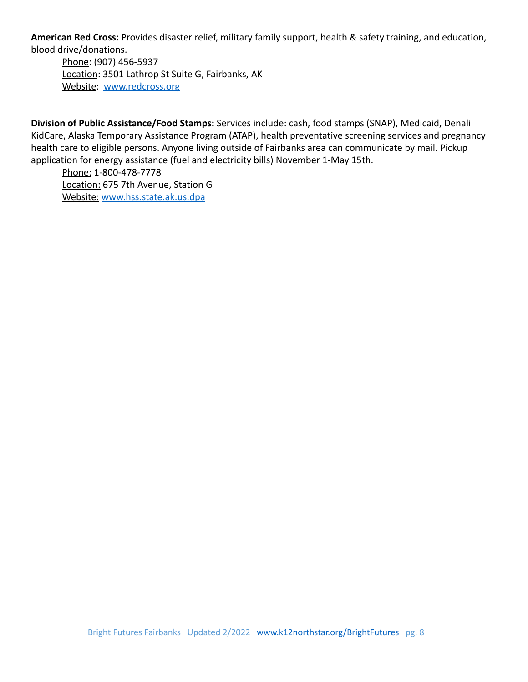**American Red Cross:** Provides disaster relief, military family support, health & safety training, and education, blood drive/donations.

Phone: (907) 456-5937 Location: 3501 Lathrop St Suite G, Fairbanks, AK Website: [www.redcross.org](http://www.redcross.org)

**Division of Public Assistance/Food Stamps:** Services include: cash, food stamps (SNAP), Medicaid, Denali KidCare, Alaska Temporary Assistance Program (ATAP), health preventative screening services and pregnancy health care to eligible persons. Anyone living outside of Fairbanks area can communicate by mail. Pickup application for energy assistance (fuel and electricity bills) November 1-May 15th.

Phone: 1-800-478-7778 Location: 675 7th Avenue, Station G Website: [www.hss.state.ak.us.dpa](http://www.hss.state.ak.us.dpa)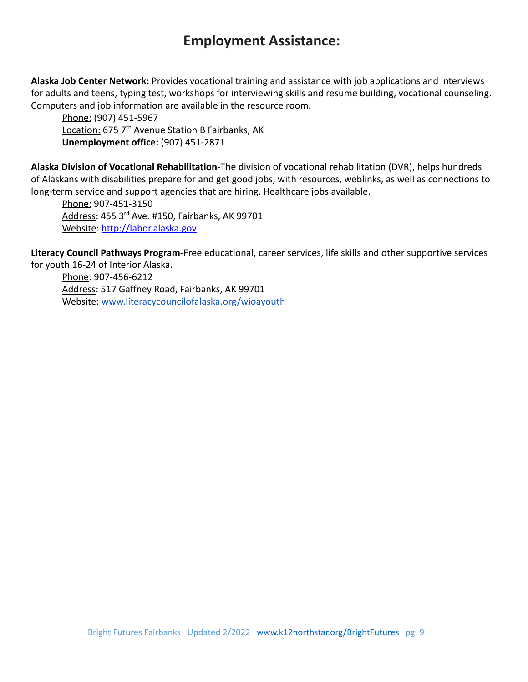# **Employment Assistance:**

<span id="page-8-0"></span>**Alaska Job Center Network:** Provides vocational training and assistance with job applications and interviews for adults and teens, typing test, workshops for interviewing skills and resume building, vocational counseling. Computers and job information are available in the resource room.

Phone: (907) 451-5967 Location: 675 7<sup>th</sup> Avenue Station B Fairbanks, AK **Unemployment office:** (907) 451-2871

**Alaska Division of Vocational Rehabilitation-**The division of vocational rehabilitation (DVR), helps hundreds of Alaskans with disabilities prepare for and get good jobs, with resources, weblinks, as well as connections to long-term service and support agencies that are hiring. Healthcare jobs available.

Phone: 907-451-3150 Address: 455 3rd Ave. #150, Fairbanks, AK 99701 Website: <http://labor.alaska.gov>

**Literacy Council Pathways Program-**Free educational, career services, life skills and other supportive services for youth 16-24 of Interior Alaska.

Phone: 907-456-6212 Address: 517 Gaffney Road, Fairbanks, AK 99701 Website: [www.literacycouncilofalaska.org/wioayouth](http://www.literacycouncilofalaska.org/wioayouth)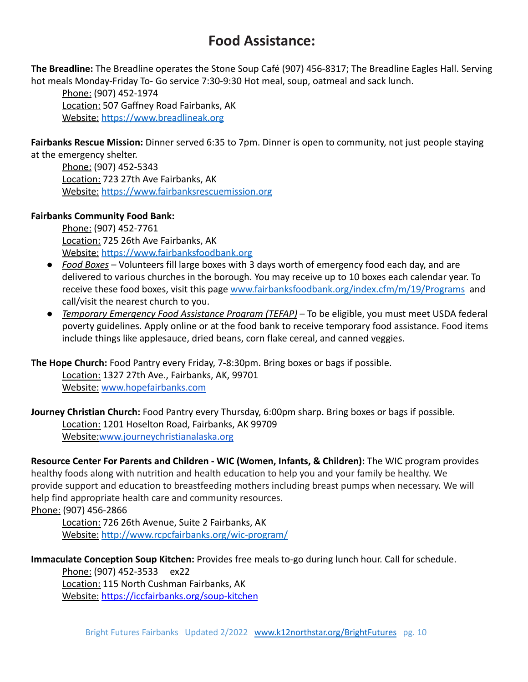# **Food Assistance:**

<span id="page-9-0"></span>**The Breadline:** The Breadline operates the Stone Soup Café (907) 456-8317; The Breadline Eagles Hall. Serving hot meals Monday-Friday To- Go service 7:30-9:30 Hot meal, soup, oatmeal and sack lunch.

Phone: (907) 452-1974 Location: 507 Gaffney Road Fairbanks, AK Website: <https://www.breadlineak.org>

**Fairbanks Rescue Mission:** Dinner served 6:35 to 7pm. Dinner is open to community, not just people staying at the emergency shelter.

Phone: (907) 452-5343 Location: 723 27th Ave Fairbanks, AK Website: <https://www.fairbanksrescuemission.org>

#### **Fairbanks Community Food Bank:**

Phone: (907) 452-7761 Location: 725 26th Ave Fairbanks, AK Website: <https://www.fairbanksfoodbank.org>

- *Food Boxes* Volunteers fill large boxes with 3 days worth of emergency food each day, and are delivered to various churches in the borough. You may receive up to 10 boxes each calendar year. To receive these food boxes, visit this page [www.fairbanksfoodbank.org/index.cfm/m/19/Programs](http://www.fairbanksfoodbank.org/index.cfm/m/19/Programs) and call/visit the nearest church to you.
- *Temporary Emergency Food Assistance Program (TEFAP)* To be eligible, you must meet USDA federal poverty guidelines. Apply online or at the food bank to receive temporary food assistance. Food items include things like applesauce, dried beans, corn flake cereal, and canned veggies.

**The Hope Church:** Food Pantry every Friday, 7-8:30pm. Bring boxes or bags if possible. Location: 1327 27th Ave., Fairbanks, AK, 99701

Website: [www.hopefairbanks.com](http://www.hopefairbanks.com)

**Journey Christian Church:** Food Pantry every Thursday, 6:00pm sharp. Bring boxes or bags if possible. Location: 1201 Hoselton Road, Fairbanks, AK 99709 Website:[www.journeychristianalaska.org](http://www.journeychristianalaska.org)

**Resource Center For Parents and Children - WIC (Women, Infants, & Children):** The WIC program provides healthy foods along with nutrition and health education to help you and your family be healthy. We provide support and education to breastfeeding mothers including breast pumps when necessary. We will help find appropriate health care and community resources. Phone: (907) 456-2866

Location: 726 26th Avenue, Suite 2 Fairbanks, AK Website: <http://www.rcpcfairbanks.org/wic-program/>

**Immaculate Conception Soup Kitchen:** Provides free meals to-go during lunch hour. Call for schedule. Phone: (907) 452-3533 ex22

Location: 115 North Cushman Fairbanks, AK Website: <https://iccfairbanks.org/soup-kitchen>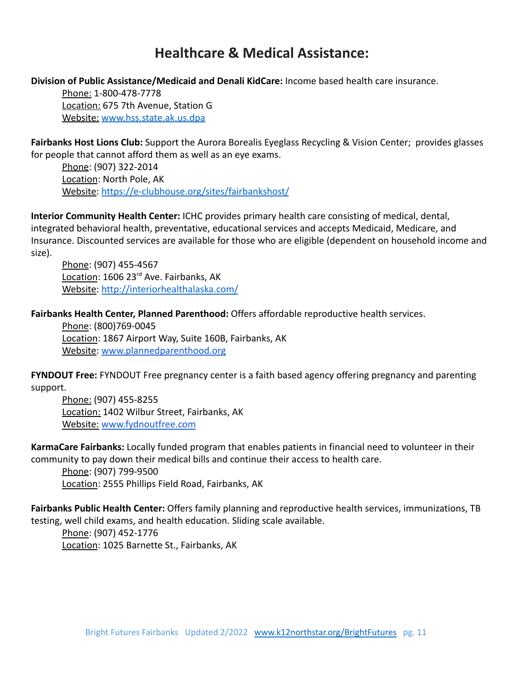# **Healthcare & Medical Assistance:**

<span id="page-10-0"></span>**Division of Public Assistance/Medicaid and Denali KidCare:** Income based health care insurance.

Phone: 1-800-478-7778 Location: 675 7th Avenue, Station G Website: [www.hss.state.ak.us.dpa](http://www.hss.state.ak.us.dpa)

**Fairbanks Host Lions Club:** Support the Aurora Borealis Eyeglass Recycling & Vision Center; provides glasses for people that cannot afford them as well as an eye exams.

Phone: (907) 322-2014 Location: North Pole, AK Website: <https://e-clubhouse.org/sites/fairbankshost/>

**Interior Community Health Center:** ICHC provides primary health care consisting of medical, dental, integrated behavioral health, preventative, educational services and accepts Medicaid, Medicare, and Insurance. Discounted services are available for those who are eligible (dependent on household income and size).

Phone: (907) 455-4567 Location: 1606 23<sup>rd</sup> Ave. Fairbanks, AK Website: <http://interiorhealthalaska.com/>

**Fairbanks Health Center, Planned Parenthood:** Offers affordable reproductive health services.

Phone: (800)769-0045 Location: 1867 Airport Way, Suite 160B, Fairbanks, AK Website: [www.plannedparenthood.org](http://www.plannedparenthood.org)

**FYNDOUT Free:** FYNDOUT Free pregnancy center is a faith based agency offering pregnancy and parenting support.

Phone: (907) 455-8255 Location: 1402 Wilbur Street, Fairbanks, AK Website: [www.fydnoutfree.com](http://www.fydnoutfree.com)

**KarmaCare Fairbanks:** Locally funded program that enables patients in financial need to volunteer in their community to pay down their medical bills and continue their access to health care.

Phone: (907) 799-9500 Location: 2555 Phillips Field Road, Fairbanks, AK

**Fairbanks Public Health Center:** Offers family planning and reproductive health services, immunizations, TB testing, well child exams, and health education. Sliding scale available.

Phone: (907) 452-1776 Location: 1025 Barnette St., Fairbanks, AK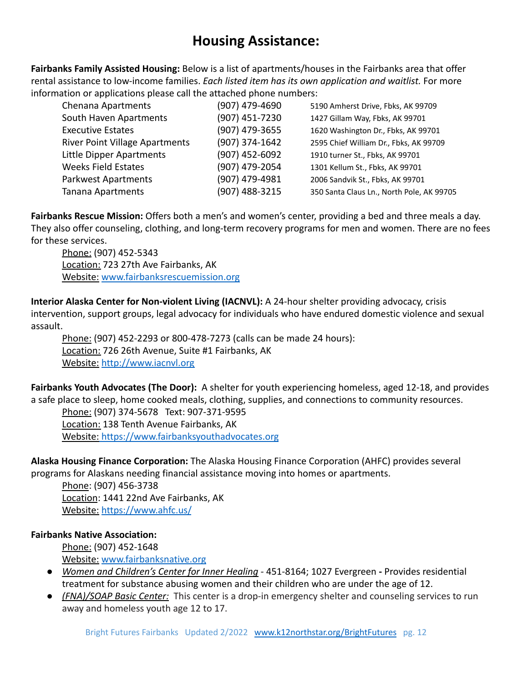# **Housing Assistance:**

**Fairbanks Family Assisted Housing:** Below is a list of apartments/houses in the Fairbanks area that offer rental assistance to low-income families. *Each listed item has its own application and waitlist.* For more information or applications please call the attached phone numbers:

| Chenana Apartments                    | (907) 479-4690 | 5190 Amherst Drive, Fbks, AK 99709        |
|---------------------------------------|----------------|-------------------------------------------|
| South Haven Apartments                | (907) 451-7230 | 1427 Gillam Way, Fbks, AK 99701           |
| <b>Executive Estates</b>              | (907) 479-3655 | 1620 Washington Dr., Fbks, AK 99701       |
| <b>River Point Village Apartments</b> | (907) 374-1642 | 2595 Chief William Dr., Fbks, AK 99709    |
| Little Dipper Apartments              | (907) 452-6092 | 1910 turner St., Fbks, AK 99701           |
| <b>Weeks Field Estates</b>            | (907) 479-2054 | 1301 Kellum St., Fbks, AK 99701           |
| <b>Parkwest Apartments</b>            | (907) 479-4981 | 2006 Sandvik St., Fbks, AK 99701          |
| Tanana Apartments                     | (907) 488-3215 | 350 Santa Claus Ln., North Pole, AK 99705 |
|                                       |                |                                           |

**Fairbanks Rescue Mission:** Offers both a men's and women's center, providing a bed and three meals a day. They also offer counseling, clothing, and long-term recovery programs for men and women. There are no fees for these services.

Phone: (907) 452-5343 Location: 723 27th Ave Fairbanks, AK Website: [www.fairbanksrescuemission.org](http://www.fairbanksrescuemission.org)

**Interior Alaska Center for Non-violent Living (IACNVL):** A 24-hour shelter providing advocacy, crisis intervention, support groups, legal advocacy for individuals who have endured domestic violence and sexual assault.

Phone: (907) 452-2293 or 800-478-7273 (calls can be made 24 hours): Location: 726 26th Avenue, Suite #1 Fairbanks, AK Website: <http://www.iacnvl.org>

**Fairbanks Youth Advocates (The Door):** A shelter for youth experiencing homeless, aged 12-18, and provides a safe place to sleep, home cooked meals, clothing, supplies, and connections to community resources.

Phone: (907) 374-5678 Text: 907-371-9595 Location: 138 Tenth Avenue Fairbanks, AK Website: https://www.fairbanksyouthadvocates.org

**Alaska Housing Finance Corporation:** The Alaska Housing Finance Corporation (AHFC) provides several programs for Alaskans needing financial assistance moving into homes or apartments.

Phone: (907) 456-3738 Location: 1441 22nd Ave Fairbanks, AK Website: <https://www.ahfc.us/>

## **Fairbanks Native Association:**

Phone: (907) 452-1648 Website: [www.fairbanksnative.org](http://www.fairbanksnative.org)

- *Women and Children's Center for Inner Healing -* 451-8164; 1027 Evergreen **-** Provides residential treatment for substance abusing women and their children who are under the age of 12.
- *(FNA)/SOAP Basic Center:* This center is a drop-in emergency shelter and counseling services to run away and homeless youth age 12 to 17.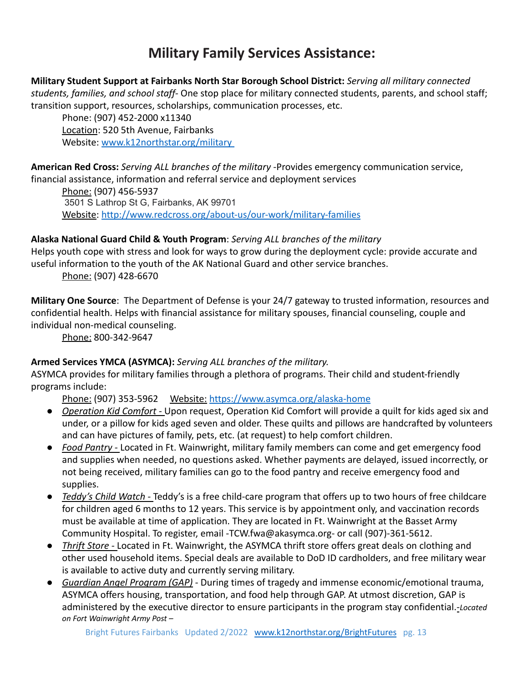# **Military Family Services Assistance:**

<span id="page-12-0"></span>**Military Student Support at Fairbanks North Star Borough School District:** *Serving all military connected students, families, and school staff-* One stop place for military connected students, parents, and school staff; transition support, resources, scholarships, communication processes, etc.

Phone: (907) 452-2000 x11340 Location: 520 5th Avenue, Fairbanks Website: [www.k12northstar.org/military](http://www.k12northstar.org/military)

**American Red Cross:** *Serving ALL branches of the military* -Provides emergency communication service, financial assistance, information and referral service and deployment services

Phone: (907) 456-5937 3501 S Lathrop St G, Fairbanks, AK 99701 Website: <http://www.redcross.org/about-us/our-work/military-families>

## **Alaska National Guard Child & Youth Program**: *Serving ALL branches of the military*

Helps youth cope with stress and look for ways to grow during the deployment cycle: provide accurate and useful information to the youth of the AK National Guard and other service branches.

Phone: (907) 428-6670

**Military One Source**: The Department of Defense is your 24/7 gateway to trusted information, resources and confidential health. Helps with financial assistance for military spouses, financial counseling, couple and individual non-medical counseling.

Phone: 800-342-9647

## **Armed Services YMCA (ASYMCA):** *Serving ALL branches of the military.*

ASYMCA provides for military families through a plethora of programs. Their child and student-friendly programs include:

Phone: (907) 353-5962 Website: <https://www.asymca.org/alaska-home>

- *Operation Kid Comfort -* Upon request, Operation Kid Comfort will provide a quilt for kids aged six and under, or a pillow for kids aged seven and older. These quilts and pillows are handcrafted by volunteers and can have pictures of family, pets, etc. (at request) to help comfort children.
- *Food Pantry -* Located in Ft. Wainwright, military family members can come and get emergency food and supplies when needed, no questions asked. Whether payments are delayed, issued incorrectly, or not being received, military families can go to the food pantry and receive emergency food and supplies.
- *Teddy's Child Watch -* Teddy's is a free child-care program that offers up to two hours of free childcare for children aged 6 months to 12 years. This service is by appointment only, and vaccination records must be available at time of application. They are located in Ft. Wainwright at the Basset Army Community Hospital. To register, email -[TCW.fwa@akasymca.org-](mailto:TCW.fwa@akasymca.org) or call (907)-361-5612.
- *Thrift Store -* Located in Ft. Wainwright, the ASYMCA thrift store offers great deals on clothing and other used household items. Special deals are available to DoD ID cardholders, and free military wear is available to active duty and currently serving military.
- *Guardian Angel Program (GAP) -* During times of tragedy and immense economic/emotional trauma, ASYMCA offers housing, transportation, and food help through GAP. At utmost discretion, GAP is administered by the executive director to ensure participants in the program stay confidential.*-Located on Fort Wainwright Army Post –*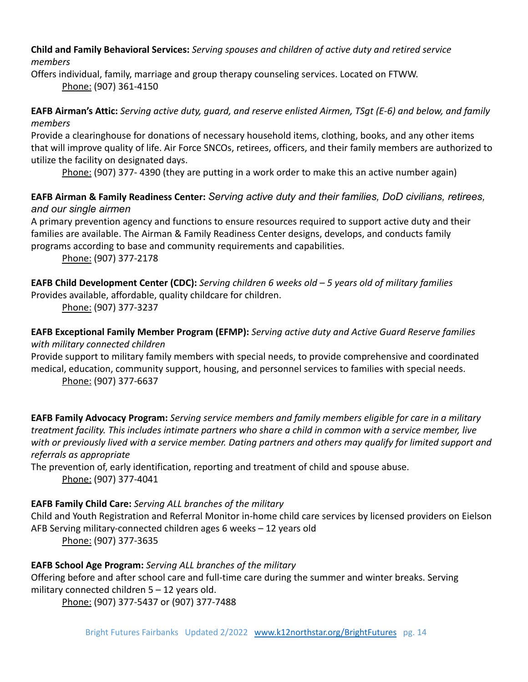**Child and Family Behavioral Services:** *Serving spouses and children of active duty and retired service members*

Offers individual, family, marriage and group therapy counseling services. Located on FTWW. Phone: (907) 361-4150

## **EAFB Airman's Attic:** *Serving active duty, guard, and reserve enlisted Airmen, TSgt (E-6) and below, and family members*

Provide a clearinghouse for donations of necessary household items, clothing, books, and any other items that will improve quality of life. Air Force SNCOs, retirees, officers, and their family members are authorized to utilize the facility on designated days.

Phone: (907) 377- 4390 (they are putting in a work order to make this an active number again)

## **EAFB Airman & Family Readiness Center:** *Serving active duty and their families, DoD civilians, retirees, and our single airmen*

A primary prevention agency and functions to ensure resources required to support active duty and their families are available. The Airman & Family Readiness Center designs, develops, and conducts family programs according to base and community requirements and capabilities.

Phone: (907) 377-2178

**EAFB Child Development Center (CDC):** *Serving children 6 weeks old – 5 years old of military families*

Provides available, affordable, quality childcare for children.

Phone: (907) 377-3237

## **EAFB Exceptional Family Member Program (EFMP):** *Serving active duty and Active Guard Reserve families with military connected children*

Provide support to military family members with special needs, to provide comprehensive and coordinated medical, education, community support, housing, and personnel services to families with special needs. Phone: (907) 377-6637

**EAFB Family Advocacy Program:** *Serving service members and family members eligible for care in a military treatment facility. This includes intimate partners who share a child in common with a service member, live with or previously lived with a service member. Dating partners and others may qualify for limited support and referrals as appropriate*

The prevention of, early identification, reporting and treatment of child and spouse abuse. Phone: (907) 377-4041

# **EAFB Family Child Care:** *Serving ALL branches of the military*

Child and Youth Registration and Referral Monitor in-home child care services by licensed providers on Eielson AFB Serving military-connected children ages 6 weeks – 12 years old

Phone: (907) 377-3635

# **EAFB School Age Program:** *Serving ALL branches of the military*

Offering before and after school care and full-time care during the summer and winter breaks. Serving military connected children 5 – 12 years old.

Phone: (907) 377-5437 or (907) 377-7488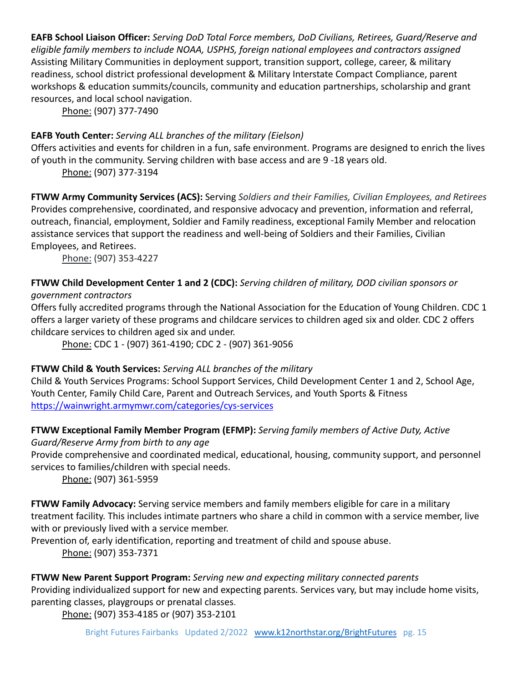**EAFB School Liaison Officer:** *Serving DoD Total Force members, DoD Civilians, Retirees, Guard/Reserve and eligible family members to include NOAA, USPHS, foreign national employees and contractors assigned* Assisting Military Communities in deployment support, transition support, college, career, & military readiness, school district professional development & Military Interstate Compact Compliance, parent workshops & education summits/councils, community and education partnerships, scholarship and grant resources, and local school navigation.

Phone: (907) 377-7490

## **EAFB Youth Center:** *Serving ALL branches of the military (Eielson)*

Offers activities and events for children in a fun, safe environment. Programs are designed to enrich the lives of youth in the community. Serving children with base access and are 9 -18 years old.

Phone: (907) 377-3194

**FTWW Army Community Services (ACS):** Serving *Soldiers and their Families, Civilian Employees, and Retirees* Provides comprehensive, coordinated, and responsive advocacy and prevention, information and referral, outreach, financial, employment, Soldier and Family readiness, exceptional Family Member and relocation assistance services that support the readiness and well-being of Soldiers and their Families, Civilian Employees, and Retirees.

Phone: (907) 353-4227

#### **FTWW Child Development Center 1 and 2 (CDC):** *Serving children of military, DOD civilian sponsors or government contractors*

Offers fully accredited programs through the National Association for the Education of Young Children. CDC 1 offers a larger variety of these programs and childcare services to children aged six and older. CDC 2 offers childcare services to children aged six and under.

Phone: CDC 1 - (907) 361-4190; CDC 2 - (907) 361-9056

# **FTWW Child & Youth Services:** *Serving ALL branches of the military*

Child & Youth Services Programs: School Support Services, Child Development Center 1 and 2, School Age, Youth Center, Family Child Care, Parent and Outreach Services, and Youth Sports & Fitness <https://wainwright.armymwr.com/categories/cys-services>

# **FTWW Exceptional Family Member Program (EFMP):** *Serving family members of Active Duty, Active*

*Guard/Reserve Army from birth to any age*

Provide comprehensive and coordinated medical, educational, housing, community support, and personnel services to families/children with special needs.

Phone: (907) 361-5959

**FTWW Family Advocacy:** Serving service members and family members eligible for care in a military treatment facility. This includes intimate partners who share a child in common with a service member, live with or previously lived with a service member.

Prevention of, early identification, reporting and treatment of child and spouse abuse. Phone: (907) 353-7371

## **FTWW New Parent Support Program:** *Serving new and expecting military connected parents*

Providing individualized support for new and expecting parents. Services vary, but may include home visits, parenting classes, playgroups or prenatal classes.

Phone: (907) 353-4185 or (907) 353-2101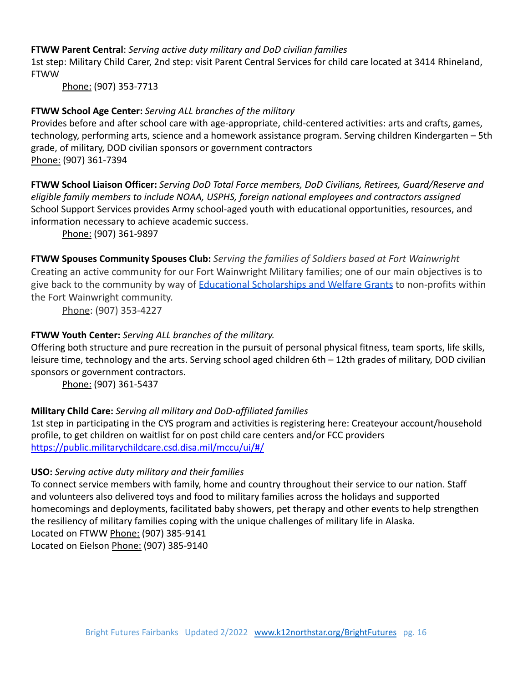#### **FTWW Parent Central**: *Serving active duty military and DoD civilian families*

1st step: Military Child Carer, 2nd step: visit Parent Central Services for child care located at 3414 Rhineland, **FTWW** 

Phone: (907) 353-7713

## **FTWW School Age Center:** *Serving ALL branches of the military*

Provides before and after school care with age-appropriate, child-centered activities: arts and crafts, games, technology, performing arts, science and a homework assistance program. Serving children Kindergarten – 5th grade, of military, DOD civilian sponsors or government contractors Phone: (907) 361-7394

**FTWW School Liaison Officer:** *Serving DoD Total Force members, DoD Civilians, Retirees, Guard/Reserve and eligible family members to include NOAA, USPHS, foreign national employees and contractors assigned* School Support Services provides Army school-aged youth with educational opportunities, resources, and information necessary to achieve academic success.

Phone: (907) 361-9897

**FTWW Spouses Community Spouses Club:** *Serving the families of Soldiers based at Fort Wainwright* Creating an active community for our Fort Wainwright Military families; one of our main objectives is to give back to the community by way of Educational [Scholarships](https://wainwrightcsc.org/scholarships-grants/) and Welfare Grants to non-profits within the Fort Wainwright community.

Phone: (907) 353-4227

## **FTWW Youth Center:** *Serving ALL branches of the military.*

Offering both structure and pure recreation in the pursuit of personal physical fitness, team sports, life skills, leisure time, technology and the arts. Serving school aged children 6th – 12th grades of military, DOD civilian sponsors or government contractors.

Phone: (907) 361-5437

## **Military Child Care:** *Serving all military and DoD-affiliated families*

1st step in participating in the CYS program and activities is registering here: Createyour account/household profile, to get children on waitlist for on post child care centers and/or FCC providers <https://public.militarychildcare.csd.disa.mil/mccu/ui/#/>

## **USO:** *Serving active duty military and their families*

To connect service members with family, home and country throughout their service to our nation. Staff and volunteers also delivered toys and food to military families across the holidays and supported homecomings and deployments, facilitated baby showers, pet therapy and other events to help strengthen the resiliency of military families coping with the unique challenges of military life in Alaska. Located on FTWW Phone: (907) 385-9141 Located on Eielson Phone: (907) 385-9140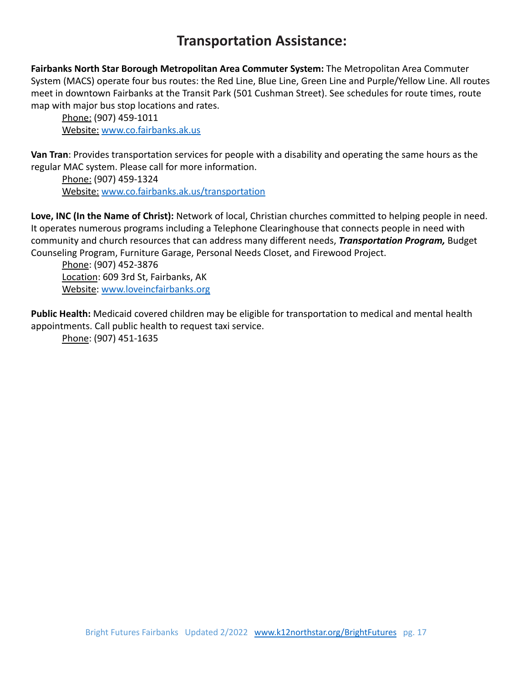# **Transportation Assistance:**

<span id="page-16-0"></span>**Fairbanks North Star Borough Metropolitan Area Commuter System:** The Metropolitan Area Commuter System (MACS) operate four bus routes: the Red Line, Blue Line, Green Line and Purple/Yellow Line. All routes meet in downtown Fairbanks at the Transit Park (501 Cushman Street). See schedules for route times, route map with major bus stop locations and rates.

Phone: (907) 459-1011 Website: [www.co.fairbanks.ak.us](http://www.co.fairbanks.ak.us)

**Van Tran**: Provides transportation services for people with a disability and operating the same hours as the regular MAC system. Please call for more information.

Phone: (907) 459-1324 Website: [www.co.fairbanks.ak.us/transportation](http://www.co.fairbanks.ak.us/transportation)

**Love, INC (In the Name of Christ):** Network of local, Christian churches committed to helping people in need. It operates numerous programs including a Telephone Clearinghouse that connects people in need with community and church resources that can address many different needs, *Transportation Program,* Budget Counseling Program, Furniture Garage, Personal Needs Closet, and Firewood Project.

Phone: (907) 452-3876 Location: 609 3rd St, Fairbanks, AK Website: [www.loveincfairbanks.org](http://www.loveincfairbanks.org)

**Public Health:** Medicaid covered children may be eligible for transportation to medical and mental health appointments. Call public health to request taxi service.

Phone: (907) 451-1635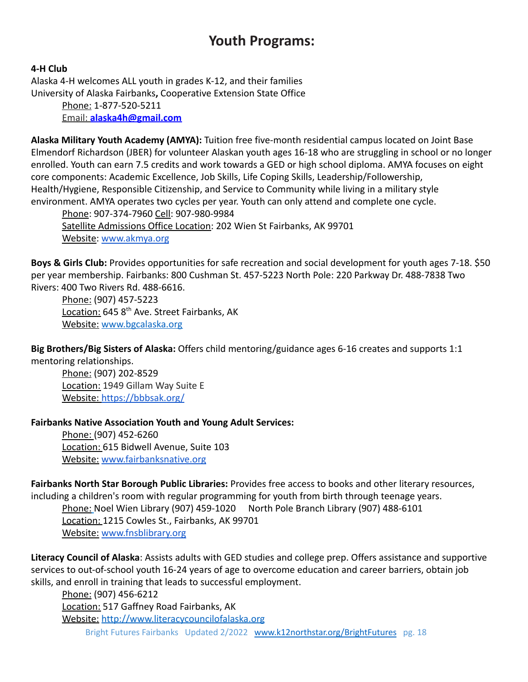# **Youth Programs:**

#### <span id="page-17-0"></span>**4-H Club**

Alaska 4-H welcomes ALL youth in grades K-12, and their families University of Alaska Fairbanks**,** Cooperative Extension State Office Phone: 1-877-520-5211 Email: **[alaska4h@gmail.com](mailto:alaska4h@gmail.com)**

**Alaska Military Youth Academy (AMYA):** Tuition free five-month residential campus located on Joint Base Elmendorf Richardson (JBER) for volunteer Alaskan youth ages 16-18 who are struggling in school or no longer enrolled. Youth can earn 7.5 credits and work towards a GED or high school diploma. AMYA focuses on eight core components: Academic Excellence, Job Skills, Life Coping Skills, Leadership/Followership, Health/Hygiene, Responsible Citizenship, and Service to Community while living in a military style environment. AMYA operates two cycles per year. Youth can only attend and complete one cycle.

Phone: 907-374-7960 Cell: 907-980-9984 Satellite Admissions Office Location: 202 Wien St Fairbanks, AK 99701 Website: [www.akmya.org](http://www.akmya.org)

**Boys & Girls Club:** Provides opportunities for safe recreation and social development for youth ages 7-18. \$50 per year membership. Fairbanks: 800 Cushman St. 457-5223 North Pole: 220 Parkway Dr. 488-7838 Two Rivers: 400 Two Rivers Rd. 488-6616.

Phone: (907) 457-5223 Location: 645 8<sup>th</sup> Ave. Street Fairbanks, AK Website: [www.bgcalaska.org](http://www.bgcalaska.org)

**Big Brothers/Big Sisters of Alaska:** Offers child mentoring/guidance ages 6-16 creates and supports 1:1 mentoring relationships.

Phone: (907) 202-8529 Location: 1949 Gillam Way Suite E Website: <https://bbbsak.org/>

**Fairbanks Native Association Youth and Young Adult Services:**

Phone: (907) 452-6260 Location: 615 Bidwell Avenue, Suite 103 Website: [www.fairbanksnative.org](http://www.fairbanksnative.org)

**Fairbanks North Star Borough Public Libraries:** Provides free access to books and other literary resources, including a children's room with regular programming for youth from birth through teenage years. Phone: Noel Wien Library (907) 459-1020 North Pole Branch Library (907) 488-6101 Location: 1215 Cowles St., Fairbanks, AK 99701 Website: [www.fnsblibrary.org](http://www.fnsblibrary.org)

**Literacy Council of Alaska**: Assists adults with GED studies and college prep. Offers assistance and supportive services to out-of-school youth 16-24 years of age to overcome education and career barriers, obtain job skills, and enroll in training that leads to successful employment.

Phone: (907) 456-6212 Location: 517 Gaffney Road Fairbanks, AK Website: <http://www.literacycouncilofalaska.org> Bright Futures Fairbanks Updated 2/2022 [www.k12northstar.org/BrightFutures](http://www.k12northstar.org/BrightFutures) pg. 18